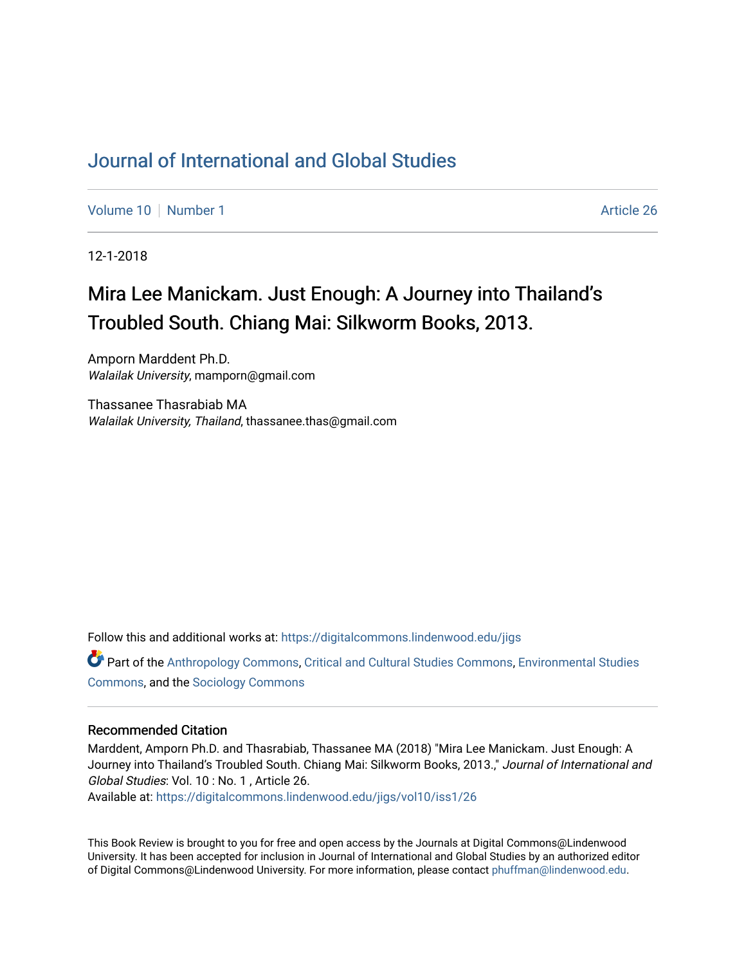## [Journal of International and Global Studies](https://digitalcommons.lindenwood.edu/jigs)

[Volume 10](https://digitalcommons.lindenwood.edu/jigs/vol10) [Number 1](https://digitalcommons.lindenwood.edu/jigs/vol10/iss1) Article 26

12-1-2018

# Mira Lee Manickam. Just Enough: A Journey into Thailand's Troubled South. Chiang Mai: Silkworm Books, 2013.

Amporn Marddent Ph.D. Walailak University, mamporn@gmail.com

Thassanee Thasrabiab MA Walailak University, Thailand, thassanee.thas@gmail.com

Follow this and additional works at: [https://digitalcommons.lindenwood.edu/jigs](https://digitalcommons.lindenwood.edu/jigs?utm_source=digitalcommons.lindenwood.edu%2Fjigs%2Fvol10%2Fiss1%2F26&utm_medium=PDF&utm_campaign=PDFCoverPages) 

Part of the [Anthropology Commons](http://network.bepress.com/hgg/discipline/318?utm_source=digitalcommons.lindenwood.edu%2Fjigs%2Fvol10%2Fiss1%2F26&utm_medium=PDF&utm_campaign=PDFCoverPages), [Critical and Cultural Studies Commons](http://network.bepress.com/hgg/discipline/328?utm_source=digitalcommons.lindenwood.edu%2Fjigs%2Fvol10%2Fiss1%2F26&utm_medium=PDF&utm_campaign=PDFCoverPages), [Environmental Studies](http://network.bepress.com/hgg/discipline/1333?utm_source=digitalcommons.lindenwood.edu%2Fjigs%2Fvol10%2Fiss1%2F26&utm_medium=PDF&utm_campaign=PDFCoverPages)  [Commons](http://network.bepress.com/hgg/discipline/1333?utm_source=digitalcommons.lindenwood.edu%2Fjigs%2Fvol10%2Fiss1%2F26&utm_medium=PDF&utm_campaign=PDFCoverPages), and the [Sociology Commons](http://network.bepress.com/hgg/discipline/416?utm_source=digitalcommons.lindenwood.edu%2Fjigs%2Fvol10%2Fiss1%2F26&utm_medium=PDF&utm_campaign=PDFCoverPages)

#### Recommended Citation

Marddent, Amporn Ph.D. and Thasrabiab, Thassanee MA (2018) "Mira Lee Manickam. Just Enough: A Journey into Thailand's Troubled South. Chiang Mai: Silkworm Books, 2013.," Journal of International and Global Studies: Vol. 10 : No. 1 , Article 26.

Available at: [https://digitalcommons.lindenwood.edu/jigs/vol10/iss1/26](https://digitalcommons.lindenwood.edu/jigs/vol10/iss1/26?utm_source=digitalcommons.lindenwood.edu%2Fjigs%2Fvol10%2Fiss1%2F26&utm_medium=PDF&utm_campaign=PDFCoverPages) 

This Book Review is brought to you for free and open access by the Journals at Digital Commons@Lindenwood University. It has been accepted for inclusion in Journal of International and Global Studies by an authorized editor of Digital Commons@Lindenwood University. For more information, please contact [phuffman@lindenwood.edu](mailto:phuffman@lindenwood.edu).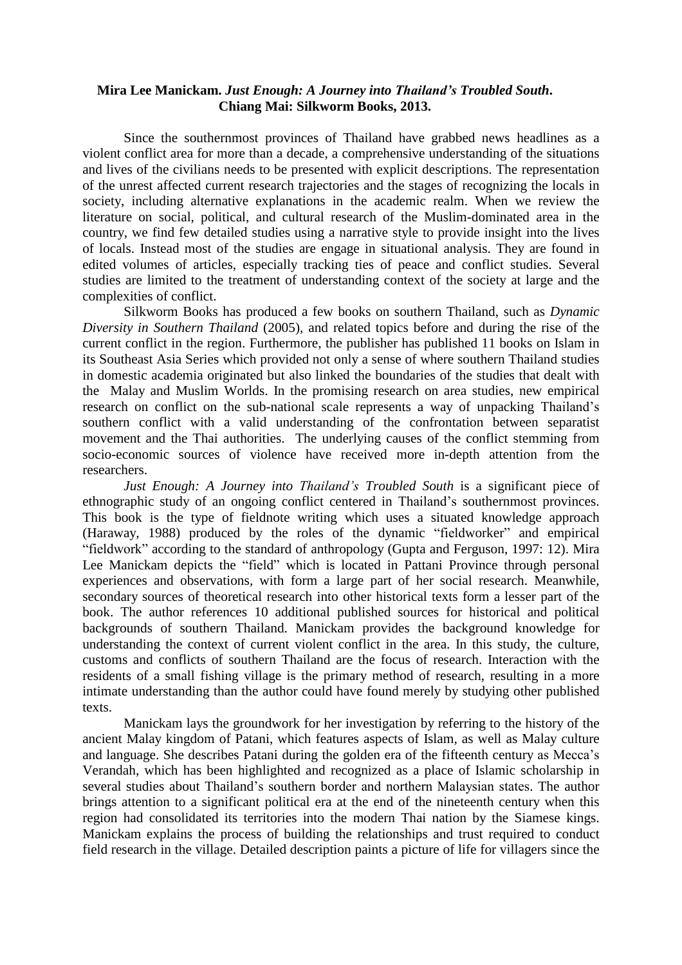### **Mira Lee Manickam.** *Just Enough: A Journey into Thailand's Troubled South***. Chiang Mai: Silkworm Books, 2013.**

Since the southernmost provinces of Thailand have grabbed news headlines as a violent conflict area for more than a decade, a comprehensive understanding of the situations and lives of the civilians needs to be presented with explicit descriptions. The representation of the unrest affected current research trajectories and the stages of recognizing the locals in society, including alternative explanations in the academic realm. When we review the literature on social, political, and cultural research of the Muslim-dominated area in the country, we find few detailed studies using a narrative style to provide insight into the lives of locals. Instead most of the studies are engage in situational analysis. They are found in edited volumes of articles, especially tracking ties of peace and conflict studies. Several studies are limited to the treatment of understanding context of the society at large and the complexities of conflict.

Silkworm Books has produced a few books on southern Thailand, such as *Dynamic Diversity in Southern Thailand* (2005), and related topics before and during the rise of the current conflict in the region. Furthermore, the publisher has published 11 books on Islam in its Southeast Asia Series which provided not only a sense of where southern Thailand studies in domestic academia originated but also linked the boundaries of the studies that dealt with the Malay and Muslim Worlds. In the promising research on area studies, new empirical research on conflict on the sub-national scale represents a way of unpacking Thailand's southern conflict with a valid understanding of the confrontation between separatist movement and the Thai authorities. The underlying causes of the conflict stemming from socio-economic sources of violence have received more in-depth attention from the researchers.

*Just Enough: A Journey into Thailand's Troubled South* is a significant piece of ethnographic study of an ongoing conflict centered in Thailand's southernmost provinces. This book is the type of fieldnote writing which uses a situated knowledge approach (Haraway, 1988) produced by the roles of the dynamic "fieldworker" and empirical "fieldwork" according to the standard of anthropology (Gupta and Ferguson, 1997: 12). Mira Lee Manickam depicts the "field" which is located in Pattani Province through personal experiences and observations, with form a large part of her social research. Meanwhile, secondary sources of theoretical research into other historical texts form a lesser part of the book. The author references 10 additional published sources for historical and political backgrounds of southern Thailand. Manickam provides the background knowledge for understanding the context of current violent conflict in the area. In this study, the culture, customs and conflicts of southern Thailand are the focus of research. Interaction with the residents of a small fishing village is the primary method of research, resulting in a more intimate understanding than the author could have found merely by studying other published texts.

Manickam lays the groundwork for her investigation by referring to the history of the ancient Malay kingdom of Patani, which features aspects of Islam, as well as Malay culture and language. She describes Patani during the golden era of the fifteenth century as Mecca's Verandah, which has been highlighted and recognized as a place of Islamic scholarship in several studies about Thailand's southern border and northern Malaysian states. The author brings attention to a significant political era at the end of the nineteenth century when this region had consolidated its territories into the modern Thai nation by the Siamese kings. Manickam explains the process of building the relationships and trust required to conduct field research in the village. Detailed description paints a picture of life for villagers since the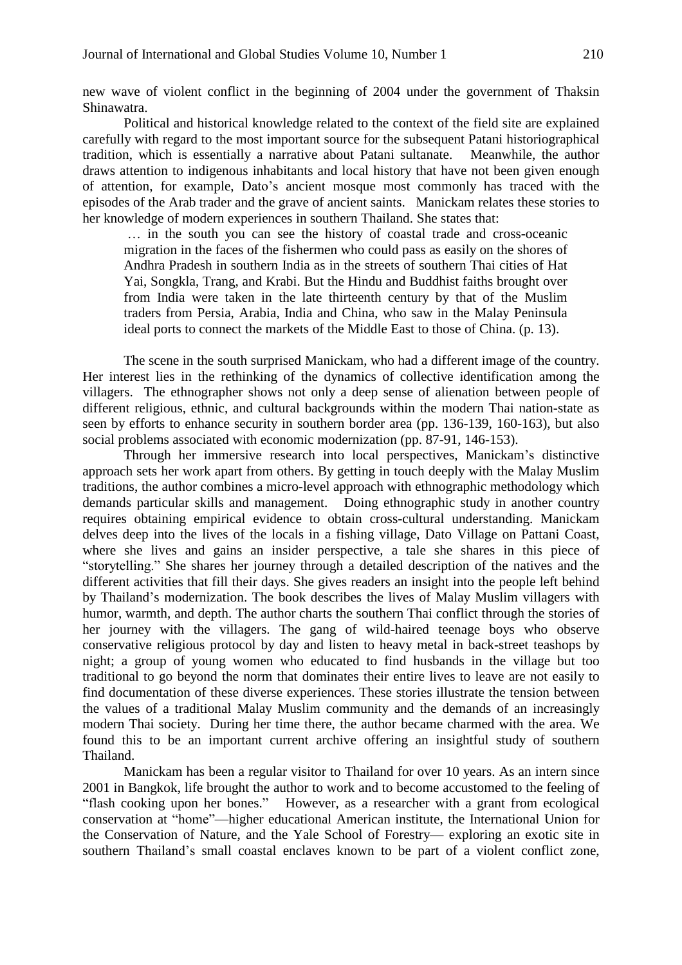new wave of violent conflict in the beginning of 2004 under the government of Thaksin Shinawatra.

Political and historical knowledge related to the context of the field site are explained carefully with regard to the most important source for the subsequent Patani historiographical tradition, which is essentially a narrative about Patani sultanate. Meanwhile, the author draws attention to indigenous inhabitants and local history that have not been given enough of attention, for example, Dato's ancient mosque most commonly has traced with the episodes of the Arab trader and the grave of ancient saints. Manickam relates these stories to her knowledge of modern experiences in southern Thailand. She states that:

… in the south you can see the history of coastal trade and cross-oceanic migration in the faces of the fishermen who could pass as easily on the shores of Andhra Pradesh in southern India as in the streets of southern Thai cities of Hat Yai, Songkla, Trang, and Krabi. But the Hindu and Buddhist faiths brought over from India were taken in the late thirteenth century by that of the Muslim traders from Persia, Arabia, India and China, who saw in the Malay Peninsula ideal ports to connect the markets of the Middle East to those of China. (p. 13).

The scene in the south surprised Manickam, who had a different image of the country. Her interest lies in the rethinking of the dynamics of collective identification among the villagers. The ethnographer shows not only a deep sense of alienation between people of different religious, ethnic, and cultural backgrounds within the modern Thai nation-state as seen by efforts to enhance security in southern border area (pp. 136-139, 160-163), but also social problems associated with economic modernization (pp. 87-91, 146-153).

Through her immersive research into local perspectives, Manickam's distinctive approach sets her work apart from others. By getting in touch deeply with the Malay Muslim traditions, the author combines a micro-level approach with ethnographic methodology which demands particular skills and management. Doing ethnographic study in another country requires obtaining empirical evidence to obtain cross-cultural understanding. Manickam delves deep into the lives of the locals in a fishing village, Dato Village on Pattani Coast, where she lives and gains an insider perspective, a tale she shares in this piece of "storytelling." She shares her journey through a detailed description of the natives and the different activities that fill their days. She gives readers an insight into the people left behind by Thailand's modernization. The book describes the lives of Malay Muslim villagers with humor, warmth, and depth. The author charts the southern Thai conflict through the stories of her journey with the villagers. The gang of wild-haired teenage boys who observe conservative religious protocol by day and listen to heavy metal in back-street teashops by night; a group of young women who educated to find husbands in the village but too traditional to go beyond the norm that dominates their entire lives to leave are not easily to find documentation of these diverse experiences. These stories illustrate the tension between the values of a traditional Malay Muslim community and the demands of an increasingly modern Thai society. During her time there, the author became charmed with the area. We found this to be an important current archive offering an insightful study of southern Thailand.

Manickam has been a regular visitor to Thailand for over 10 years. As an intern since 2001 in Bangkok, life brought the author to work and to become accustomed to the feeling of "flash cooking upon her bones." However, as a researcher with a grant from ecological conservation at "home"—higher educational American institute, the International Union for the Conservation of Nature, and the Yale School of Forestry— exploring an exotic site in southern Thailand's small coastal enclaves known to be part of a violent conflict zone,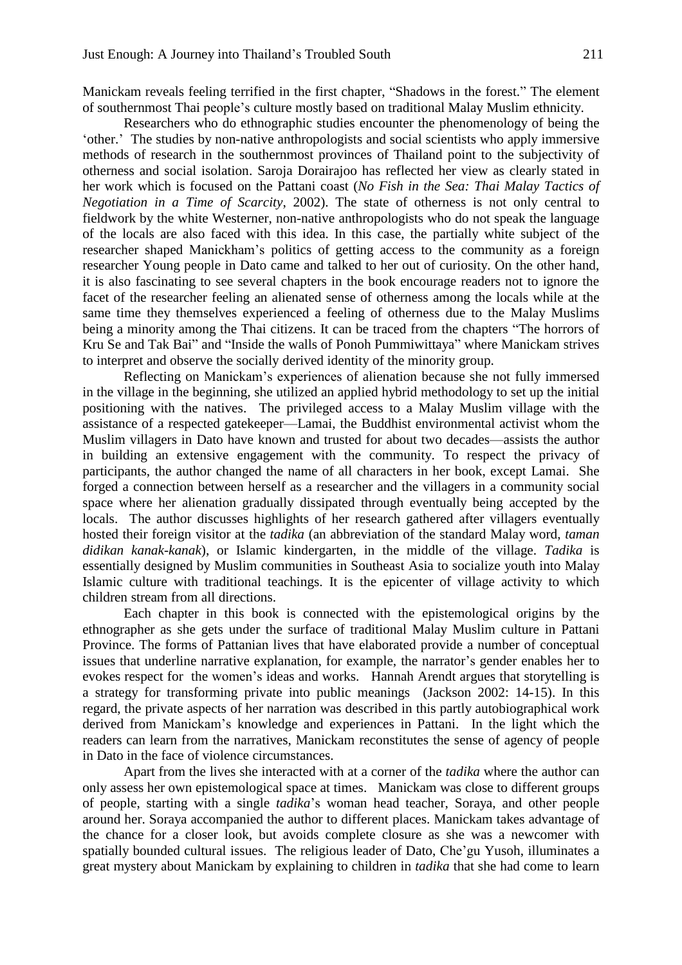Manickam reveals feeling terrified in the first chapter, "Shadows in the forest." The element of southernmost Thai people's culture mostly based on traditional Malay Muslim ethnicity.

Researchers who do ethnographic studies encounter the phenomenology of being the 'other.' The studies by non-native anthropologists and social scientists who apply immersive methods of research in the southernmost provinces of Thailand point to the subjectivity of otherness and social isolation. Saroja Dorairajoo has reflected her view as clearly stated in her work which is focused on the Pattani coast (*No Fish in the Sea: Thai Malay Tactics of Negotiation in a Time of Scarcity*, 2002). The state of otherness is not only central to fieldwork by the white Westerner, non-native anthropologists who do not speak the language of the locals are also faced with this idea. In this case, the partially white subject of the researcher shaped Manickham's politics of getting access to the community as a foreign researcher Young people in Dato came and talked to her out of curiosity. On the other hand, it is also fascinating to see several chapters in the book encourage readers not to ignore the facet of the researcher feeling an alienated sense of otherness among the locals while at the same time they themselves experienced a feeling of otherness due to the Malay Muslims being a minority among the Thai citizens. It can be traced from the chapters "The horrors of Kru Se and Tak Bai" and "Inside the walls of Ponoh Pummiwittaya" where Manickam strives to interpret and observe the socially derived identity of the minority group.

Reflecting on Manickam's experiences of alienation because she not fully immersed in the village in the beginning, she utilized an applied hybrid methodology to set up the initial positioning with the natives. The privileged access to a Malay Muslim village with the assistance of a respected gatekeeper—Lamai, the Buddhist environmental activist whom the Muslim villagers in Dato have known and trusted for about two decades—assists the author in building an extensive engagement with the community. To respect the privacy of participants, the author changed the name of all characters in her book, except Lamai. She forged a connection between herself as a researcher and the villagers in a community social space where her alienation gradually dissipated through eventually being accepted by the locals. The author discusses highlights of her research gathered after villagers eventually hosted their foreign visitor at the *tadika* (an abbreviation of the standard Malay word, *taman didikan kanak-kanak*), or Islamic kindergarten, in the middle of the village. *Tadika* is essentially designed by Muslim communities in Southeast Asia to socialize youth into Malay Islamic culture with traditional teachings. It is the epicenter of village activity to which children stream from all directions.

Each chapter in this book is connected with the epistemological origins by the ethnographer as she gets under the surface of traditional Malay Muslim culture in Pattani Province. The forms of Pattanian lives that have elaborated provide a number of conceptual issues that underline narrative explanation, for example, the narrator's gender enables her to evokes respect for the women's ideas and works. Hannah Arendt argues that storytelling is a strategy for transforming private into public meanings (Jackson 2002: 14-15). In this regard, the private aspects of her narration was described in this partly autobiographical work derived from Manickam's knowledge and experiences in Pattani. In the light which the readers can learn from the narratives, Manickam reconstitutes the sense of agency of people in Dato in the face of violence circumstances.

Apart from the lives she interacted with at a corner of the *tadika* where the author can only assess her own epistemological space at times. Manickam was close to different groups of people, starting with a single *tadika*'s woman head teacher, Soraya, and other people around her. Soraya accompanied the author to different places. Manickam takes advantage of the chance for a closer look, but avoids complete closure as she was a newcomer with spatially bounded cultural issues. The religious leader of Dato, Che'gu Yusoh, illuminates a great mystery about Manickam by explaining to children in *tadika* that she had come to learn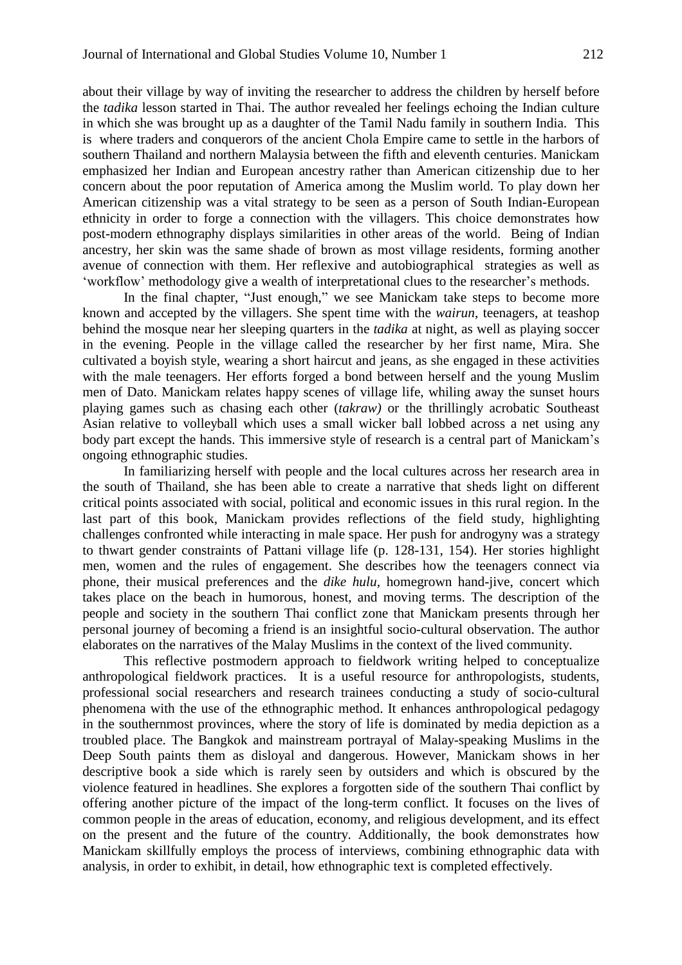about their village by way of inviting the researcher to address the children by herself before the *tadika* lesson started in Thai. The author revealed her feelings echoing the Indian culture in which she was brought up as a daughter of the Tamil Nadu family in southern India. This is where traders and conquerors of the ancient Chola Empire came to settle in the harbors of southern Thailand and northern Malaysia between the fifth and eleventh centuries. Manickam emphasized her Indian and European ancestry rather than American citizenship due to her concern about the poor reputation of America among the Muslim world. To play down her American citizenship was a vital strategy to be seen as a person of South Indian-European ethnicity in order to forge a connection with the villagers. This choice demonstrates how post-modern ethnography displays similarities in other areas of the world. Being of Indian ancestry, her skin was the same shade of brown as most village residents, forming another avenue of connection with them. Her reflexive and autobiographical strategies as well as 'workflow' methodology give a wealth of interpretational clues to the researcher's methods.

In the final chapter, "Just enough," we see Manickam take steps to become more known and accepted by the villagers. She spent time with the *wairun*, teenagers, at teashop behind the mosque near her sleeping quarters in the *tadika* at night, as well as playing soccer in the evening. People in the village called the researcher by her first name, Mira. She cultivated a boyish style, wearing a short haircut and jeans, as she engaged in these activities with the male teenagers. Her efforts forged a bond between herself and the young Muslim men of Dato. Manickam relates happy scenes of village life, whiling away the sunset hours playing games such as chasing each other (*takraw)* or the thrillingly acrobatic Southeast Asian relative to volleyball which uses a small wicker ball lobbed across a net using any body part except the hands. This immersive style of research is a central part of Manickam's ongoing ethnographic studies.

In familiarizing herself with people and the local cultures across her research area in the south of Thailand, she has been able to create a narrative that sheds light on different critical points associated with social, political and economic issues in this rural region. In the last part of this book, Manickam provides reflections of the field study, highlighting challenges confronted while interacting in male space. Her push for androgyny was a strategy to thwart gender constraints of Pattani village life (p. 128-131, 154). Her stories highlight men, women and the rules of engagement. She describes how the teenagers connect via phone, their musical preferences and the *dike hulu,* homegrown hand-jive, concert which takes place on the beach in humorous, honest, and moving terms. The description of the people and society in the southern Thai conflict zone that Manickam presents through her personal journey of becoming a friend is an insightful socio-cultural observation. The author elaborates on the narratives of the Malay Muslims in the context of the lived community.

This reflective postmodern approach to fieldwork writing helped to conceptualize anthropological fieldwork practices. It is a useful resource for anthropologists, students, professional social researchers and research trainees conducting a study of socio-cultural phenomena with the use of the ethnographic method. It enhances anthropological pedagogy in the southernmost provinces, where the story of life is dominated by media depiction as a troubled place. The Bangkok and mainstream portrayal of Malay-speaking Muslims in the Deep South paints them as disloyal and dangerous. However, Manickam shows in her descriptive book a side which is rarely seen by outsiders and which is obscured by the violence featured in headlines. She explores a forgotten side of the southern Thai conflict by offering another picture of the impact of the long-term conflict. It focuses on the lives of common people in the areas of education, economy, and religious development, and its effect on the present and the future of the country. Additionally, the book demonstrates how Manickam skillfully employs the process of interviews, combining ethnographic data with analysis, in order to exhibit, in detail, how ethnographic text is completed effectively.